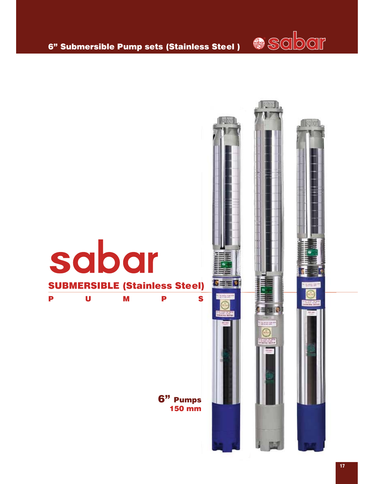

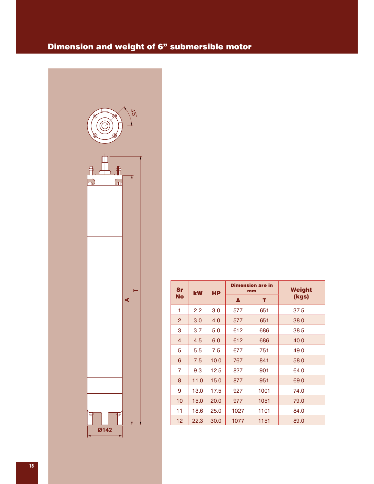# Dimension and weight of 6" submersible motor



| (kgs) |
|-------|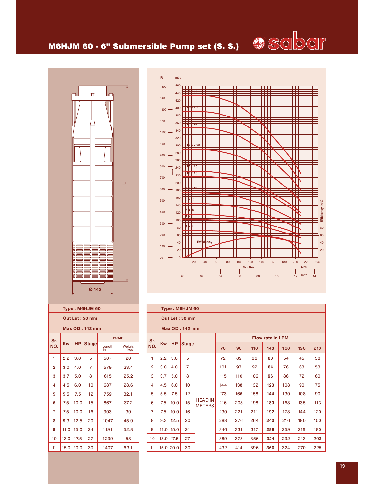

### M6HJM 60 - 6" Submersible Pump set (S. S.)





|                | Type: M6HJM 60 |           |                 |                 |                  |  |  |  |  |  |  |
|----------------|----------------|-----------|-----------------|-----------------|------------------|--|--|--|--|--|--|
|                | Out Let: 50 mm |           |                 |                 |                  |  |  |  |  |  |  |
| Max OD: 142 mm |                |           |                 |                 |                  |  |  |  |  |  |  |
| Sr.            |                |           |                 | <b>PUMP</b>     |                  |  |  |  |  |  |  |
| NO.            | Kw             | <b>HP</b> | <b>Stage</b>    | Length<br>in mm | Weight<br>in kgs |  |  |  |  |  |  |
| 1              | 2.2            | 3.0       | 5               | 507             | 20               |  |  |  |  |  |  |
| 2              | 3.0            | 4.0       | 7               | 579             | 23.4             |  |  |  |  |  |  |
| 3              | 3.7            | 5.0       | 8               | 615             | 25.2             |  |  |  |  |  |  |
| 4              | 4.5            | 6.0       | 10              | 687             |                  |  |  |  |  |  |  |
| 5              | 5.5            | 7.5       | 12 <sup>1</sup> | 759             | 32.1             |  |  |  |  |  |  |
| 6              | 7.5            | 10.0      | 15              | 867             | 37.2             |  |  |  |  |  |  |
| 7              | 7.5            | 10.0      | 16              | 903             | 39               |  |  |  |  |  |  |
| 8              | 9.3            | 12.5      | 20              | 1047            | 45.9             |  |  |  |  |  |  |
| 9              | 11.0           | 15.0      | 24              | 1191            | 52.8             |  |  |  |  |  |  |
| 10             | 13.0           | 17.5      | 27              | 1299            | 58               |  |  |  |  |  |  |
| 11             | 15.0           | 20.0      | 30              | 1407            | 63.1             |  |  |  |  |  |  |
|                |                |           |                 |                 |                  |  |  |  |  |  |  |

|                | Type: M6HJM 60 |               |                 |                                 |     |     |     |                         |     |     |     |  |
|----------------|----------------|---------------|-----------------|---------------------------------|-----|-----|-----|-------------------------|-----|-----|-----|--|
|                | Out Let: 50 mm |               |                 |                                 |     |     |     |                         |     |     |     |  |
| Max OD: 142 mm |                |               |                 |                                 |     |     |     |                         |     |     |     |  |
| Sr.            |                |               |                 |                                 |     |     |     | <b>Flow rate in LPM</b> |     |     |     |  |
| NO.            | <b>Kw</b>      | <b>HP</b>     | <b>Stage</b>    |                                 | 70  | 90  | 110 | 140                     | 160 | 190 | 210 |  |
| 1              | 2.2            | 3.0           | 5               |                                 | 72  | 69  | 66  | 60                      | 54  | 45  | 38  |  |
| $\overline{2}$ | 3.0            | 4.0           | $\overline{7}$  |                                 | 101 | 97  | 92  | 84                      | 76  | 63  | 53  |  |
| 3              | 3.7            | 5.0           | 8               |                                 | 115 | 110 | 106 | 96                      | 86  | 72  | 60  |  |
| 4              | 4.5            | 6.0           | 10 <sup>°</sup> |                                 | 144 | 138 | 132 | 120                     | 108 | 90  | 75  |  |
| 5              | 5.5            | 7.5           | 12 <sup>2</sup> |                                 | 173 | 166 | 158 | 144                     | 130 | 108 | 90  |  |
| 6              | 7.5            | 10.0          | 15              | <b>HEAD IN</b><br><b>METERS</b> | 216 | 208 | 198 | 180                     | 163 | 135 | 113 |  |
| $\overline{7}$ | 7.5            | 10.0          | 16              |                                 | 230 | 221 | 211 | 192                     | 173 | 144 | 120 |  |
| 8              | 9.3            | 12.5          | 20              |                                 | 288 | 276 | 264 | 240                     | 216 | 180 | 150 |  |
| 9              |                | $11.0$   15.0 | 24              |                                 | 346 | 331 | 317 | 288                     | 259 | 216 | 180 |  |
| 10             | 13.0           | 17.5          | 27              |                                 | 389 | 373 | 356 | 324                     | 292 | 243 | 203 |  |
| 11             |                | 15.0 20.0     | 30              |                                 | 432 | 414 | 396 | 360                     | 324 | 270 | 225 |  |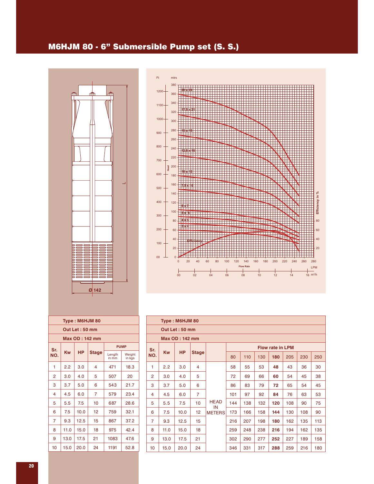### M6HJM 80 - 6" Submersible Pump set (S. S.)





| Type: M6HJM 80 |                |              |  |                              |                  |  |  |  |  |  |  |
|----------------|----------------|--------------|--|------------------------------|------------------|--|--|--|--|--|--|
|                | Out Let: 50 mm |              |  |                              |                  |  |  |  |  |  |  |
|                | Max OD: 142 mm |              |  |                              |                  |  |  |  |  |  |  |
| Sr.            |                |              |  | <b>PUMP</b>                  |                  |  |  |  |  |  |  |
| Kw<br>NO.      | <b>HP</b>      | <b>Stage</b> |  | Length<br>in $\overline{mm}$ | Weight<br>in kgs |  |  |  |  |  |  |
| 1<br>2.2       | 3.0            | 4            |  | 471                          | 18.3             |  |  |  |  |  |  |
| 2<br>3.0       | 4.0            | 5            |  | 507                          | 20               |  |  |  |  |  |  |
| 3<br>3.7       | 5.0            | 6            |  | 543                          | 21.7             |  |  |  |  |  |  |
| 4.5<br>4       | 6.0            | 7            |  | 579                          | 23.4             |  |  |  |  |  |  |
| 5<br>5.5       | 7.5            | 10           |  | 687                          | 28.6             |  |  |  |  |  |  |
| 6<br>7.5       | 10.0           | 12           |  | 759                          | 32.1             |  |  |  |  |  |  |
| 7<br>9.3       | 12.5           | 15           |  | 867                          | 37.2             |  |  |  |  |  |  |
| 8<br>11.0      | 15.0           | 18           |  | 975                          | 42.4             |  |  |  |  |  |  |
| 9<br>13.0      | 17.5           | 21           |  | 1083                         | 47.6             |  |  |  |  |  |  |
| 10<br>15.0     | 20.0           | 24           |  | 1191                         | 52.8             |  |  |  |  |  |  |

|                | Type: M6HJM 80        |                |                |                         |     |     |     |     |     |     |     |  |  |
|----------------|-----------------------|----------------|----------------|-------------------------|-----|-----|-----|-----|-----|-----|-----|--|--|
|                |                       | Out Let: 50 mm |                |                         |     |     |     |     |     |     |     |  |  |
|                | <b>Max OD: 142 mm</b> |                |                |                         |     |     |     |     |     |     |     |  |  |
| Sr.            |                       |                |                | <b>Flow rate in LPM</b> |     |     |     |     |     |     |     |  |  |
| NO.            | <b>Kw</b>             | <b>HP</b>      | <b>Stage</b>   |                         | 80  | 110 | 130 | 180 | 205 | 230 | 250 |  |  |
| 1              | 2.2                   | 3.0            | 4              |                         | 58  | 55  | 53  | 48  | 43  | 36  | 30  |  |  |
| $\overline{2}$ | 3.0                   | 4.0            | 5              |                         | 72  | 69  | 66  | 60  | 54  | 45  | 38  |  |  |
| 3              | 3.7                   | 5.0            | 6              |                         | 86  | 83  | 79  | 72  | 65  | 54  | 45  |  |  |
| 4              | 4.5                   | 6.0            | $\overline{7}$ |                         | 101 | 97  | 92  | 84  | 76  | 63  | 53  |  |  |
| 5              | 5.5                   | 7.5            | 10             | <b>HEAD</b><br>IN       | 144 | 138 | 132 | 120 | 108 | 90  | 75  |  |  |
| 6              | 7.5                   | 10.0           | 12             | <b>METERS</b>           | 173 | 166 | 158 | 144 | 130 | 108 | 90  |  |  |
| $\overline{7}$ | 9.3                   | 12.5           | 15             |                         | 216 | 207 | 198 | 180 | 162 | 135 | 113 |  |  |
| 8              | 11.0                  | 15.0           | 18             |                         | 259 | 248 | 238 | 216 | 194 | 162 | 135 |  |  |
| 9              | 13.0                  | 17.5           | 21             |                         | 302 | 290 | 277 | 252 | 227 | 189 | 158 |  |  |
| 10             | 15.0                  | 20.0           | 24             |                         | 346 | 331 | 317 | 288 | 259 | 216 | 180 |  |  |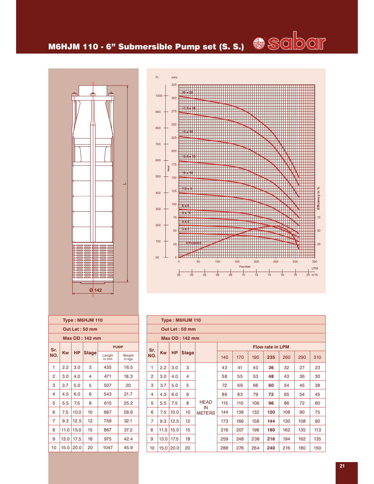# M6HJM 110 - 6" Submersible Pump set (S. S.)



|          | 325            |                                                                                                                |                 |
|----------|----------------|----------------------------------------------------------------------------------------------------------------|-----------------|
|          |                |                                                                                                                |                 |
| $1000 -$ |                |                                                                                                                |                 |
|          | 300            |                                                                                                                |                 |
|          |                |                                                                                                                |                 |
| 900      | 275            |                                                                                                                |                 |
|          |                |                                                                                                                |                 |
|          |                |                                                                                                                |                 |
|          | 250            |                                                                                                                |                 |
| 800      |                |                                                                                                                |                 |
|          |                |                                                                                                                |                 |
|          | 225            |                                                                                                                |                 |
| 700      |                |                                                                                                                |                 |
|          | 200            |                                                                                                                |                 |
|          |                |                                                                                                                |                 |
| 600      |                |                                                                                                                |                 |
|          | 175            |                                                                                                                |                 |
| Head     |                |                                                                                                                |                 |
| 500      |                |                                                                                                                |                 |
|          | 150            |                                                                                                                |                 |
|          |                |                                                                                                                |                 |
|          | 125            |                                                                                                                |                 |
| 400      |                |                                                                                                                | Efficiency in % |
|          |                |                                                                                                                |                 |
|          | 100            |                                                                                                                |                 |
| 300      |                |                                                                                                                |                 |
|          |                |                                                                                                                |                 |
|          | 75             |                                                                                                                | 75              |
| 200      |                |                                                                                                                |                 |
|          | 50             |                                                                                                                | $-50$           |
|          |                |                                                                                                                |                 |
| 100      |                |                                                                                                                |                 |
|          | 25             |                                                                                                                | $-25$           |
|          |                |                                                                                                                |                 |
|          |                |                                                                                                                |                 |
| 00       | $\overline{0}$ |                                                                                                                |                 |
|          |                | 50<br>100<br>150<br>200<br>250<br>300<br>$\overline{0}$                                                        | 350             |
|          |                | <b>Flow Rate</b>                                                                                               | LPM             |
|          | 0 <sup>1</sup> | 12<br>0 <sup>1</sup><br>0 <sup>1</sup><br>14<br>0 <sup>1</sup><br>0 <sup>1</sup><br>1 <sup>1</sup><br>18<br>16 | $20 \, m^3/h$   |

|                       | Type: M6HJM 110 |           |              |                              |                  |  |  |  |  |  |
|-----------------------|-----------------|-----------|--------------|------------------------------|------------------|--|--|--|--|--|
|                       | Out Let: 50 mm  |           |              |                              |                  |  |  |  |  |  |
| <b>Max OD: 142 mm</b> |                 |           |              |                              |                  |  |  |  |  |  |
| Sr.                   |                 |           | <b>PUMP</b>  |                              |                  |  |  |  |  |  |
| NO.                   | Kw              | <b>HP</b> | <b>Stage</b> | Length<br>in $\overline{mm}$ | Weight<br>in kgs |  |  |  |  |  |
| 1                     | 2.2             | 3.0       | 3            | 435                          | 16.5             |  |  |  |  |  |
| $\overline{2}$        | 3.0             | 4.0       | 4            | 471                          | 18.3             |  |  |  |  |  |
| 3                     | 3.7             | 5.0       | 5            | 507                          | 20               |  |  |  |  |  |
| 4                     | 4.5             | 6.0       | 6            | 543                          | 21.7             |  |  |  |  |  |
| 5                     | 5.5             | 7.5       | 8            | 615                          | 25.2             |  |  |  |  |  |
| 6                     | 7.5             | 10.0      | 10           | 687                          | 28.6             |  |  |  |  |  |
| $\overline{7}$        | 9.3             | 12.5      | 12           | 759                          | 32.1             |  |  |  |  |  |
| 8                     | 11.0            | 15.0      | 15           | 867                          | 37.2             |  |  |  |  |  |
| 9                     | 13.0            | 17.5      | 18           | 975<br>42.4                  |                  |  |  |  |  |  |
| 10                    | 15.0            | 20.0      | 20           | 1047                         | 45.9             |  |  |  |  |  |
|                       |                 |           |              |                              |                  |  |  |  |  |  |

|                                | Type: M6HJM 110 |              |                 |                     |     |     |     |     |     |     |     |  |  |
|--------------------------------|-----------------|--------------|-----------------|---------------------|-----|-----|-----|-----|-----|-----|-----|--|--|
|                                | Out Let: 50 mm  |              |                 |                     |     |     |     |     |     |     |     |  |  |
| <b>Max OD: 142 mm</b>          |                 |              |                 |                     |     |     |     |     |     |     |     |  |  |
| <b>Flow rate in LPM</b><br>Sr. |                 |              |                 |                     |     |     |     |     |     |     |     |  |  |
| <b>Kw</b><br>NO.               | <b>HP</b>       | <b>Stage</b> |                 | 140                 | 170 | 195 | 235 | 260 | 290 | 310 |     |  |  |
| 1                              | 2.2             | 3.0          | 3               |                     | 43  | 41  | 40  | 36  | 32  | 27  | 23  |  |  |
| $\overline{2}$                 | 3.0             | 4.0          | 4               |                     | 58  | 55  | 53  | 48  | 43  | 36  | 30  |  |  |
| 3                              | 3.7             | 5.0          | 5               |                     | 72  | 69  | 66  | 60  | 54  | 45  | 38  |  |  |
| 4                              | 4.5             | 6.0          | 6               |                     | 86  | 83  | 79  | 72  | 65  | 54  | 45  |  |  |
| 5                              | 5.5             | 7.5          | 8               | <b>HEAD</b>         | 115 | 110 | 106 | 96  | 86  | 72  | 60  |  |  |
| 6                              | 7.5             | 10.0         | 10 <sup>1</sup> | IN<br><b>METERS</b> | 144 | 138 | 132 | 120 | 108 | 90  | 75  |  |  |
| $\overline{7}$                 | 9.3             | 12.5         | 12 <sup>2</sup> |                     | 173 | 166 | 158 | 144 | 130 | 108 | 90  |  |  |
| 8                              | 11.0            | 15.0         | 15              |                     | 216 | 207 | 198 | 180 | 162 | 135 | 113 |  |  |
| 9                              | 13.0            | 17.5         | 18              |                     | 259 | 248 | 238 | 216 | 194 | 162 | 135 |  |  |
| 10                             |                 | 15.0 20.0    | 20              |                     | 288 | 276 | 264 | 240 | 216 | 180 | 150 |  |  |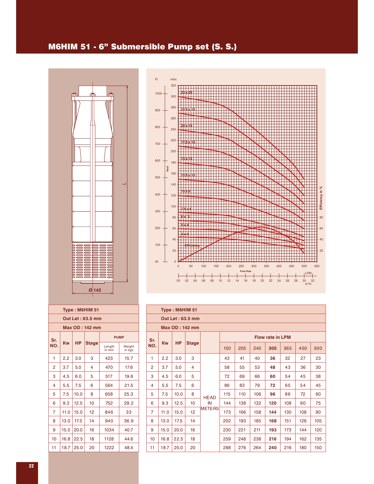### M6HIM 51 - 6" Submersible Pump set (S. S.)





|                | Type: M6HIM 51        |      |                  |                              |                  |  |  |  |  |  |  |
|----------------|-----------------------|------|------------------|------------------------------|------------------|--|--|--|--|--|--|
|                |                       |      | Out Let: 63.5 mm |                              |                  |  |  |  |  |  |  |
|                | <b>Max OD: 142 mm</b> |      |                  |                              |                  |  |  |  |  |  |  |
| Sr.            |                       |      |                  | <b>PUMP</b>                  |                  |  |  |  |  |  |  |
| NO.            | Kw                    | HP   | Stage            | Length<br>in $\overline{mm}$ | Weight<br>in kgs |  |  |  |  |  |  |
| 1              | 2.2                   | 3.0  | 3                | 423                          | 15.7             |  |  |  |  |  |  |
| $\overline{2}$ | 3.7                   | 5.0  | 4                | 470                          | 17.6             |  |  |  |  |  |  |
| 3              | 4.5                   | 6.0  | 5                | 517                          | 19.6             |  |  |  |  |  |  |
| 4              | 5.5                   | 7.5  | 6                | 564                          | 21.5             |  |  |  |  |  |  |
| 5              | 7.5                   | 10.0 | 8                | 658                          | 25.3             |  |  |  |  |  |  |
| 6              | 9.3                   | 12.5 | 10               | 752                          | 29.2             |  |  |  |  |  |  |
| 7              | 11.0                  | 15.0 | 12               | 846                          | 33               |  |  |  |  |  |  |
| 8              | 13.0                  | 17.5 | 14               | 940                          | 36.9             |  |  |  |  |  |  |
| 9              | 15.0                  | 20.0 | 16               | 1034                         | 40.7             |  |  |  |  |  |  |
| 10             | 16.8                  | 22.5 | 18               | 44.6                         |                  |  |  |  |  |  |  |
| 11             | 18.7                  | 25.0 | 20               | 1222                         | 48.4             |  |  |  |  |  |  |
|                |                       |      |                  |                              |                  |  |  |  |  |  |  |

|                | Type: M6HIM 51 |           |                  |               |                         |     |     |     |     |     |     |  |  |
|----------------|----------------|-----------|------------------|---------------|-------------------------|-----|-----|-----|-----|-----|-----|--|--|
|                |                |           | Out Let: 63.5 mm |               |                         |     |     |     |     |     |     |  |  |
|                | Max OD: 142 mm |           |                  |               |                         |     |     |     |     |     |     |  |  |
| Sr.            |                | <b>HP</b> |                  |               | <b>Flow rate in LPM</b> |     |     |     |     |     |     |  |  |
| NO.            | <b>Kw</b>      |           | <b>Stage</b>     |               | 150                     | 205 | 240 | 305 | 365 | 450 | 500 |  |  |
| 1              | 2.2            | 3.0       | 3                |               | 43                      | 41  | 40  | 36  | 32  | 27  | 23  |  |  |
| $\overline{2}$ | 3.7            | 5.0       | 4                |               | 58                      | 55  | 53  | 48  | 43  | 36  | 30  |  |  |
| 3              | 4.5            | 6.0       | 5                |               | 72                      | 69  | 66  | 60  | 54  | 45  | 38  |  |  |
| 4              | 5.5            | 7.5       | 6                |               | 86                      | 83  | 79  | 72  | 65  | 54  | 45  |  |  |
| 5              | 7.5            | 10.0      | 8                | <b>HEAD</b>   | 115                     | 110 | 106 | 96  | 86  | 72  | 60  |  |  |
| 6              | 9.3            | 12.5      | 10 <sup>1</sup>  | IN            | 144                     | 138 | 132 | 120 | 108 | 90  | 75  |  |  |
| 7              | 11.0           | 15.0      | 12               | <b>METERS</b> | 173                     | 166 | 158 | 144 | 130 | 108 | 90  |  |  |
| 8              | 13.0           | 17.5      | 14               |               | 202                     | 193 | 185 | 168 | 151 | 126 | 105 |  |  |
| 9              | 15.0           | 20.0      | 16               |               | 230                     | 221 | 211 | 193 | 173 | 144 | 120 |  |  |
| 10             | 16.8           | 22.5      | 18               |               | 259                     | 248 | 238 | 216 | 194 | 162 | 135 |  |  |
| 11             | 18.7           | 25.0      | 20               |               | 288                     | 276 | 264 | 240 | 216 | 180 | 150 |  |  |